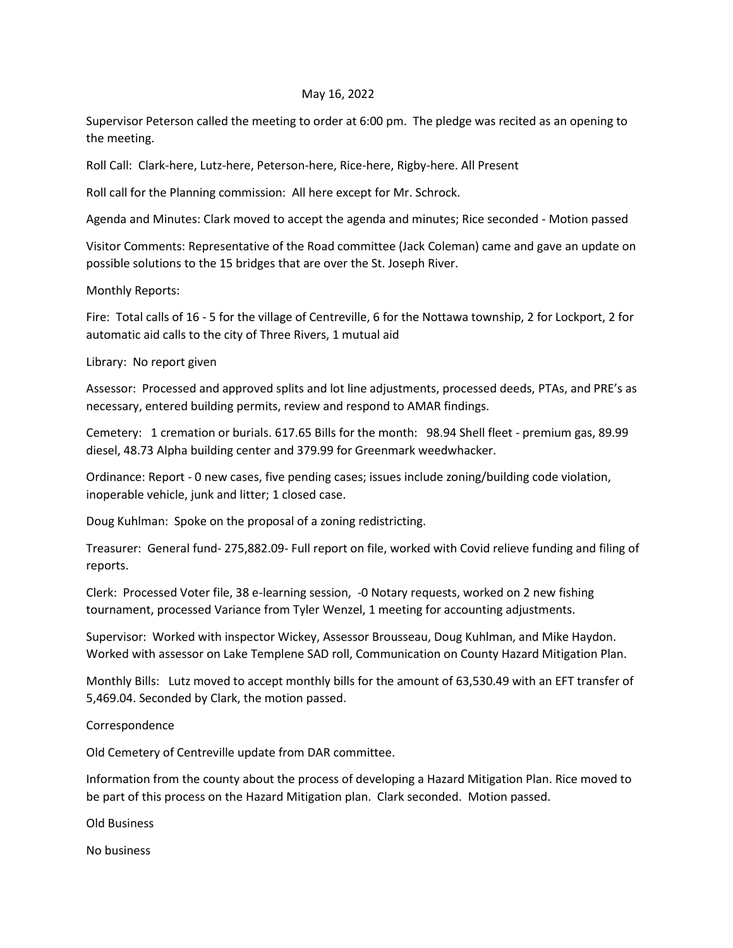## May 16, 2022

Supervisor Peterson called the meeting to order at 6:00 pm. The pledge was recited as an opening to the meeting.

Roll Call: Clark-here, Lutz-here, Peterson-here, Rice-here, Rigby-here. All Present

Roll call for the Planning commission: All here except for Mr. Schrock.

Agenda and Minutes: Clark moved to accept the agenda and minutes; Rice seconded - Motion passed

Visitor Comments: Representative of the Road committee (Jack Coleman) came and gave an update on possible solutions to the 15 bridges that are over the St. Joseph River.

Monthly Reports:

Fire: Total calls of 16 - 5 for the village of Centreville, 6 for the Nottawa township, 2 for Lockport, 2 for automatic aid calls to the city of Three Rivers, 1 mutual aid

Library: No report given

Assessor: Processed and approved splits and lot line adjustments, processed deeds, PTAs, and PRE's as necessary, entered building permits, review and respond to AMAR findings.

Cemetery: 1 cremation or burials. 617.65 Bills for the month: 98.94 Shell fleet - premium gas, 89.99 diesel, 48.73 Alpha building center and 379.99 for Greenmark weedwhacker.

Ordinance: Report - 0 new cases, five pending cases; issues include zoning/building code violation, inoperable vehicle, junk and litter; 1 closed case.

Doug Kuhlman: Spoke on the proposal of a zoning redistricting.

Treasurer: General fund- 275,882.09- Full report on file, worked with Covid relieve funding and filing of reports.

Clerk: Processed Voter file, 38 e-learning session, -0 Notary requests, worked on 2 new fishing tournament, processed Variance from Tyler Wenzel, 1 meeting for accounting adjustments.

Supervisor: Worked with inspector Wickey, Assessor Brousseau, Doug Kuhlman, and Mike Haydon. Worked with assessor on Lake Templene SAD roll, Communication on County Hazard Mitigation Plan.

Monthly Bills: Lutz moved to accept monthly bills for the amount of 63,530.49 with an EFT transfer of 5,469.04. Seconded by Clark, the motion passed.

Correspondence

Old Cemetery of Centreville update from DAR committee.

Information from the county about the process of developing a Hazard Mitigation Plan. Rice moved to be part of this process on the Hazard Mitigation plan. Clark seconded. Motion passed.

Old Business

No business